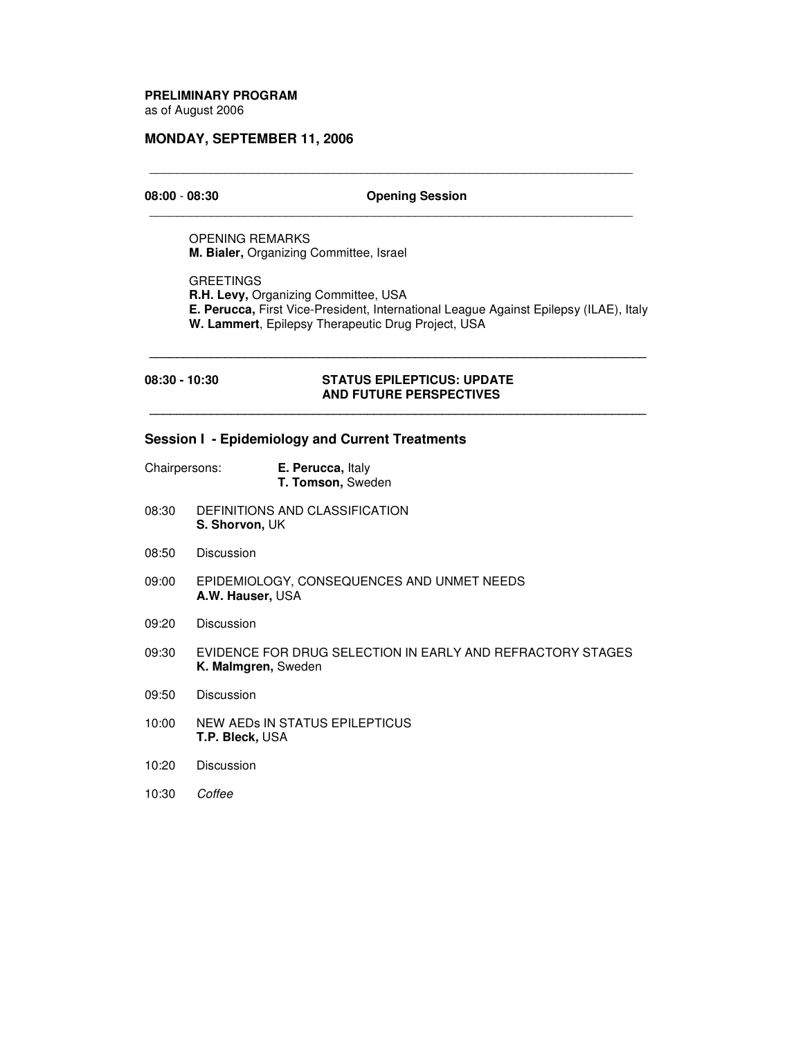# **PRELIMINARY PROGRAM**

as of August 2006

## **MONDAY, SEPTEMBER 11, 2006**

## **08:00** - **08:30 Opening Session**

\_\_\_\_\_\_\_\_\_\_\_\_\_\_\_\_\_\_\_\_\_\_\_\_\_\_\_\_\_\_\_\_\_\_\_\_\_\_\_\_\_\_\_\_\_\_\_\_\_\_\_\_\_\_\_\_\_\_\_\_\_\_\_\_\_\_\_\_\_\_\_

\_\_\_\_\_\_\_\_\_\_\_\_\_\_\_\_\_\_\_\_\_\_\_\_\_\_\_\_\_\_\_\_\_\_\_\_\_\_\_\_\_\_\_\_\_\_\_\_\_\_\_\_\_\_\_\_\_\_\_\_\_\_\_\_\_\_\_\_\_\_\_

OPENING REMARKS **M. Bialer,** Organizing Committee, Israel

**GREETINGS R.H. Levy,** Organizing Committee, USA **E. Perucca,** First Vice-President, International League Against Epilepsy (ILAE), Italy **W. Lammert**, Epilepsy Therapeutic Drug Project, USA

#### **08:30 - 10:30 STATUS EPILEPTICUS: UPDATE AND FUTURE PERSPECTIVES**

**\_\_\_\_\_\_\_\_\_\_\_\_\_\_\_\_\_\_\_\_\_\_\_\_\_\_\_\_\_\_\_\_\_\_\_\_\_\_\_\_\_\_\_\_\_\_\_\_\_\_\_\_\_\_\_\_\_\_\_\_\_\_\_\_\_\_\_\_\_\_\_\_\_**

**\_\_\_\_\_\_\_\_\_\_\_\_\_\_\_\_\_\_\_\_\_\_\_\_\_\_\_\_\_\_\_\_\_\_\_\_\_\_\_\_\_\_\_\_\_\_\_\_\_\_\_\_\_\_\_\_\_\_\_\_\_\_\_\_\_\_\_\_\_\_\_\_\_**

## **Session I - Epidemiology and Current Treatments**

| Chairpersons: | E. Perucca, Italy |
|---------------|-------------------|
|               | T. Tomson, Sweden |

- 08:30 DEFINITIONS AND CLASSIFICATION **S. Shorvon,** UK
- 08:50 Discussion
- 09:00 EPIDEMIOLOGY, CONSEQUENCES AND UNMET NEEDS **A.W. Hauser,** USA
- 09:20 Discussion
- 09:30 EVIDENCE FOR DRUG SELECTION IN EARLY AND REFRACTORY STAGES **K. Malmgren,** Sweden
- 09:50 Discussion
- 10:00 NEW AEDs IN STATUS EPILEPTICUS **T.P. Bleck***,* USA
- 10:20 Discussion
- 10:30 *Coffee*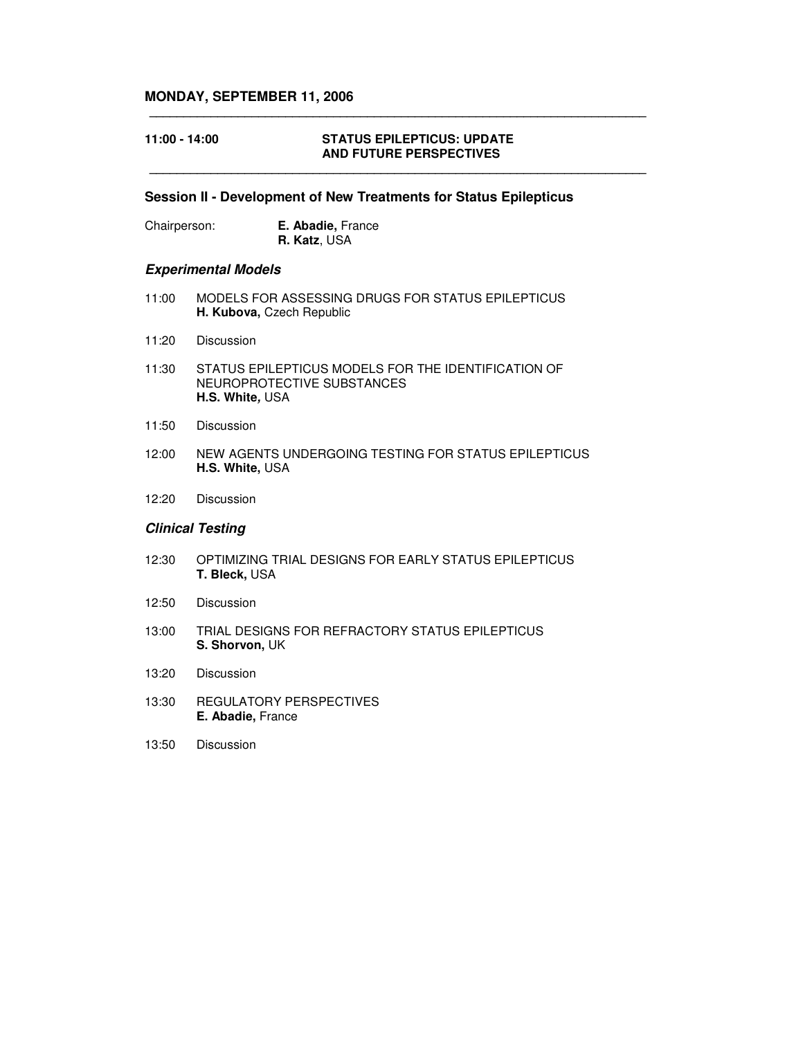## **MONDAY, SEPTEMBER 11, 2006**

### **11:00 - 14:00 STATUS EPILEPTICUS: UPDATE AND FUTURE PERSPECTIVES**

#### **Session II - Development of New Treatments for Status Epilepticus**

**\_\_\_\_\_\_\_\_\_\_\_\_\_\_\_\_\_\_\_\_\_\_\_\_\_\_\_\_\_\_\_\_\_\_\_\_\_\_\_\_\_\_\_\_\_\_\_\_\_\_\_\_\_\_\_\_\_\_\_\_\_\_\_\_\_\_\_\_\_\_\_\_\_**

**\_\_\_\_\_\_\_\_\_\_\_\_\_\_\_\_\_\_\_\_\_\_\_\_\_\_\_\_\_\_\_\_\_\_\_\_\_\_\_\_\_\_\_\_\_\_\_\_\_\_\_\_\_\_\_\_\_\_\_\_\_\_\_\_\_\_\_\_\_\_\_\_\_**

| Chairperson: | <b>E. Abadie, France</b> |
|--------------|--------------------------|
|              | <b>R. Katz, USA</b>      |

#### *Experimental Models*

- 11:00 MODELS FOR ASSESSING DRUGS FOR STATUS EPILEPTICUS **H. Kubova,** Czech Republic
- 11:20 Discussion
- 11:30 STATUS EPILEPTICUS MODELS FOR THE IDENTIFICATION OF NEUROPROTECTIVE SUBSTANCES **H.S. White***,* USA
- 11:50 Discussion
- 12:00 NEW AGENTS UNDERGOING TESTING FOR STATUS EPILEPTICUS **H.S. White,** USA
- 12:20 Discussion

#### *Clinical Testing*

- 12:30 OPTIMIZING TRIAL DESIGNS FOR EARLY STATUS EPILEPTICUS **T. Bleck,** USA
- 12:50 Discussion
- 13:00 TRIAL DESIGNS FOR REFRACTORY STATUS EPILEPTICUS **S. Shorvon,** UK
- 13:20 Discussion
- 13:30 REGULATORY PERSPECTIVES **E. Abadie,** France
- 13:50 Discussion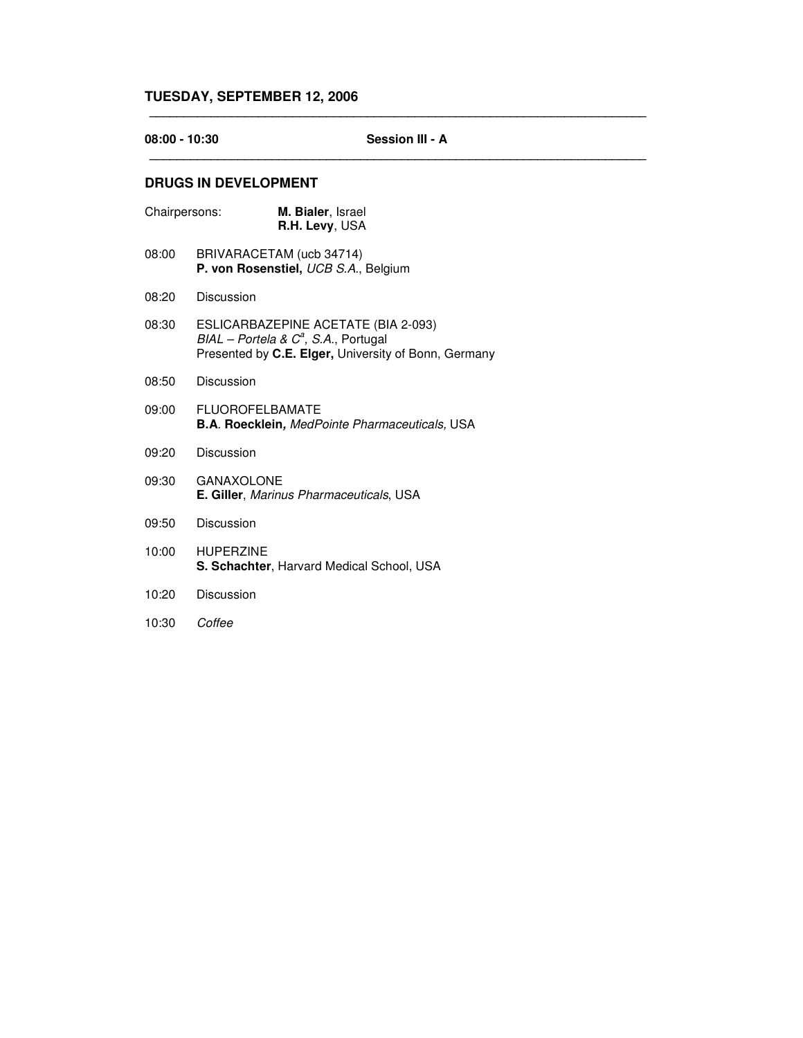## **08:00 - 10:30 Session III - A \_\_\_\_\_\_\_\_\_\_\_\_\_\_\_\_\_\_\_\_\_\_\_\_\_\_\_\_\_\_\_\_\_\_\_\_\_\_\_\_\_\_\_\_\_\_\_\_\_\_\_\_\_\_\_\_\_\_\_\_\_\_\_\_\_\_\_\_\_\_\_\_\_**

**\_\_\_\_\_\_\_\_\_\_\_\_\_\_\_\_\_\_\_\_\_\_\_\_\_\_\_\_\_\_\_\_\_\_\_\_\_\_\_\_\_\_\_\_\_\_\_\_\_\_\_\_\_\_\_\_\_\_\_\_\_\_\_\_\_\_\_\_\_\_\_\_\_**

## **DRUGS IN DEVELOPMENT**

| Chairpersons: | M. Bialer, Israel<br>R.H. Levy, USA                                                                                                  |
|---------------|--------------------------------------------------------------------------------------------------------------------------------------|
| 08:00         | BRIVARACETAM (ucb 34714)<br>P. von Rosenstiel, UCB S.A., Belgium                                                                     |
| 08:20         | Discussion                                                                                                                           |
| 08:30         | ESLICARBAZEPINE ACETATE (BIA 2-093)<br>$BIAL - Portela & Ca, S.A., Portugal$<br>Presented by C.E. Elger, University of Bonn, Germany |
| 08:50         | Discussion                                                                                                                           |
| 09:00         | <b>FLUOROFELBAMATE</b><br><b>B.A. Roecklein, MedPointe Pharmaceuticals, USA</b>                                                      |
| 09:20         | Discussion                                                                                                                           |
| 09:30         | <b>GANAXOLONE</b><br>E. Giller, Marinus Pharmaceuticals, USA                                                                         |
| 09:50         | Discussion                                                                                                                           |
| 10:00         | <b>HUPERZINE</b><br><b>S. Schachter, Harvard Medical School, USA</b>                                                                 |
|               |                                                                                                                                      |

- 10:20 Discussion
- 10:30 *Coffee*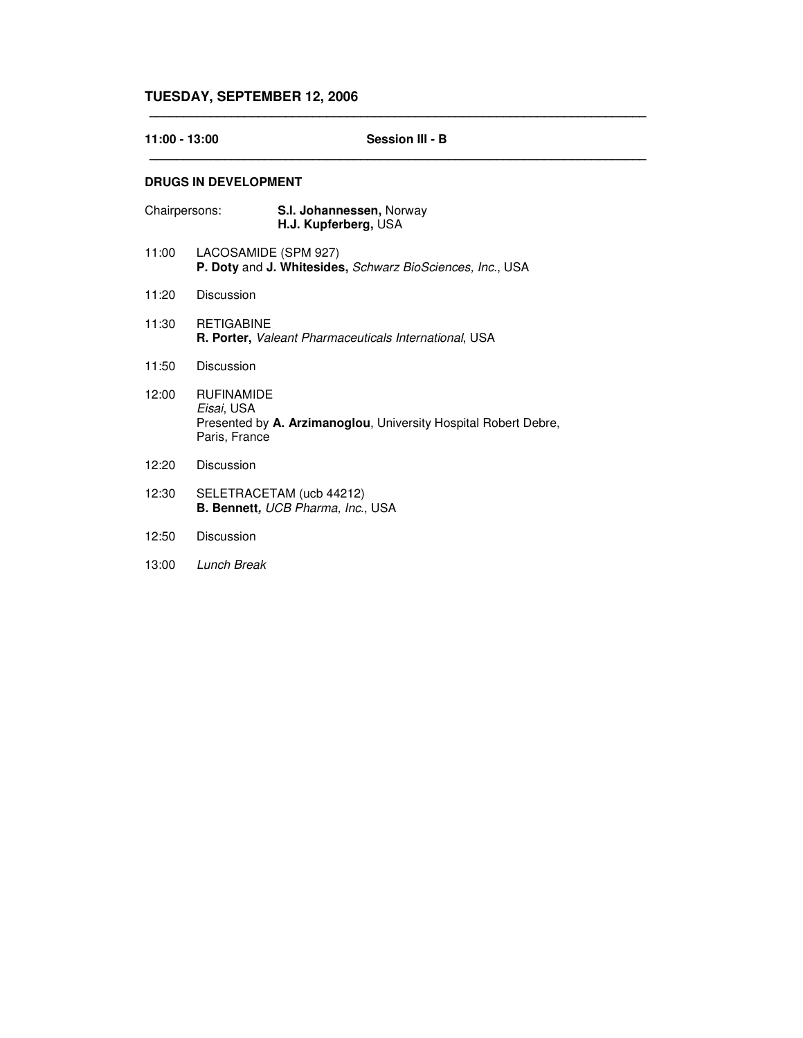| 11:00 - 13:00 |                                                  | <b>Session III - B</b>                                          |  |  |
|---------------|--------------------------------------------------|-----------------------------------------------------------------|--|--|
|               | <b>DRUGS IN DEVELOPMENT</b>                      |                                                                 |  |  |
| Chairpersons: |                                                  | S.I. Johannessen, Norway<br>H.J. Kupferberg, USA                |  |  |
| 11:00         | LACOSAMIDE (SPM 927)                             | P. Doty and J. Whitesides, Schwarz BioSciences, Inc., USA       |  |  |
| 11:20         | Discussion                                       |                                                                 |  |  |
| 11:30         | <b>RETIGABINE</b>                                | <b>R. Porter, Valeant Pharmaceuticals International, USA</b>    |  |  |
| 11:50         | Discussion                                       |                                                                 |  |  |
| 12:00         | <b>RUFINAMIDE</b><br>Eisai, USA<br>Paris, France | Presented by A. Arzimanoglou, University Hospital Robert Debre, |  |  |
| 12:20         | Discussion                                       |                                                                 |  |  |
| 12:30         |                                                  | SELETRACETAM (ucb 44212)<br>B. Bennett, UCB Pharma, Inc., USA   |  |  |
| 12:50         | Discussion                                       |                                                                 |  |  |
| 13:00         | <b>Lunch Break</b>                               |                                                                 |  |  |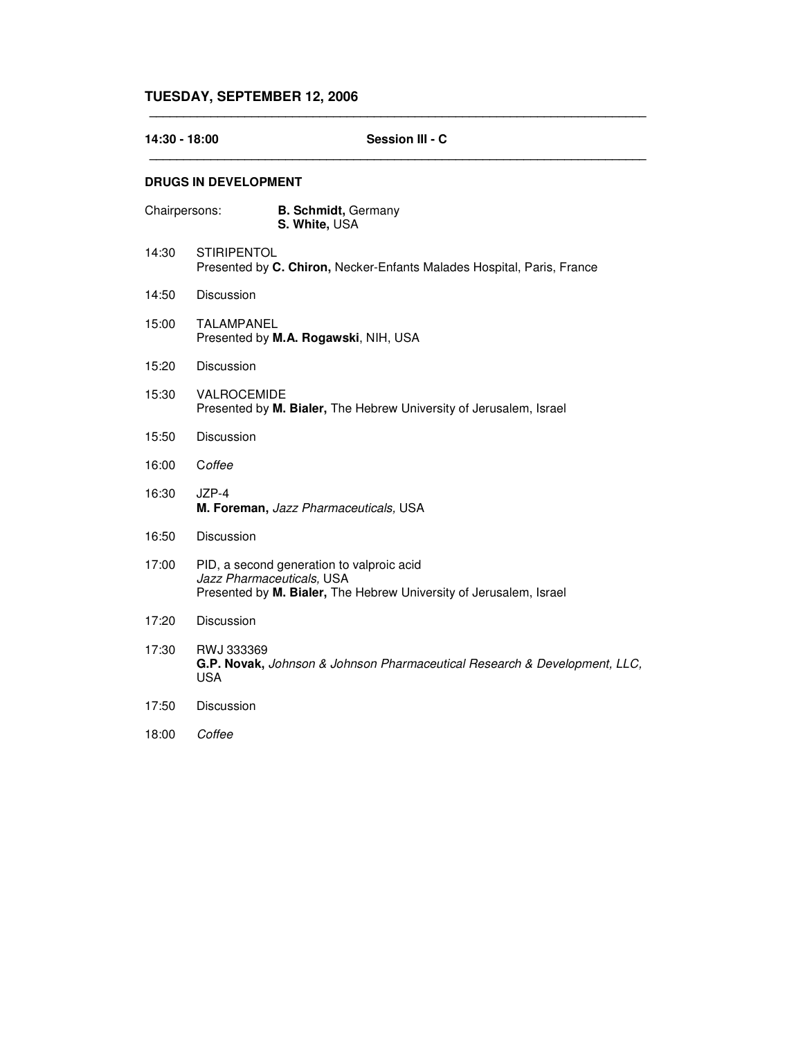| 14:30 - 18:00 |                             | Session III - C                                                                                                                              |
|---------------|-----------------------------|----------------------------------------------------------------------------------------------------------------------------------------------|
|               | <b>DRUGS IN DEVELOPMENT</b> |                                                                                                                                              |
| Chairpersons: |                             | <b>B. Schmidt, Germany</b><br>S. White, USA                                                                                                  |
| 14:30         | <b>STIRIPENTOL</b>          | Presented by C. Chiron, Necker-Enfants Malades Hospital, Paris, France                                                                       |
| 14:50         | Discussion                  |                                                                                                                                              |
| 15:00         | <b>TALAMPANEL</b>           | Presented by M.A. Rogawski, NIH, USA                                                                                                         |
| 15:20         | Discussion                  |                                                                                                                                              |
| 15:30         | VALROCEMIDE                 | Presented by M. Bialer, The Hebrew University of Jerusalem, Israel                                                                           |
| 15:50         | Discussion                  |                                                                                                                                              |
| 16:00         | Coffee                      |                                                                                                                                              |
| 16:30         | JZP-4                       | M. Foreman, Jazz Pharmaceuticals, USA                                                                                                        |
| 16:50         | Discussion                  |                                                                                                                                              |
| 17:00         |                             | PID, a second generation to valproic acid<br>Jazz Pharmaceuticals, USA<br>Presented by M. Bialer, The Hebrew University of Jerusalem, Israel |
| 17:20         | Discussion                  |                                                                                                                                              |
| 17:30         | RWJ 333369<br><b>USA</b>    | G.P. Novak, Johnson & Johnson Pharmaceutical Research & Development, LLC,                                                                    |
| 17:50         | Discussion                  |                                                                                                                                              |
| 18:00         | Coffee                      |                                                                                                                                              |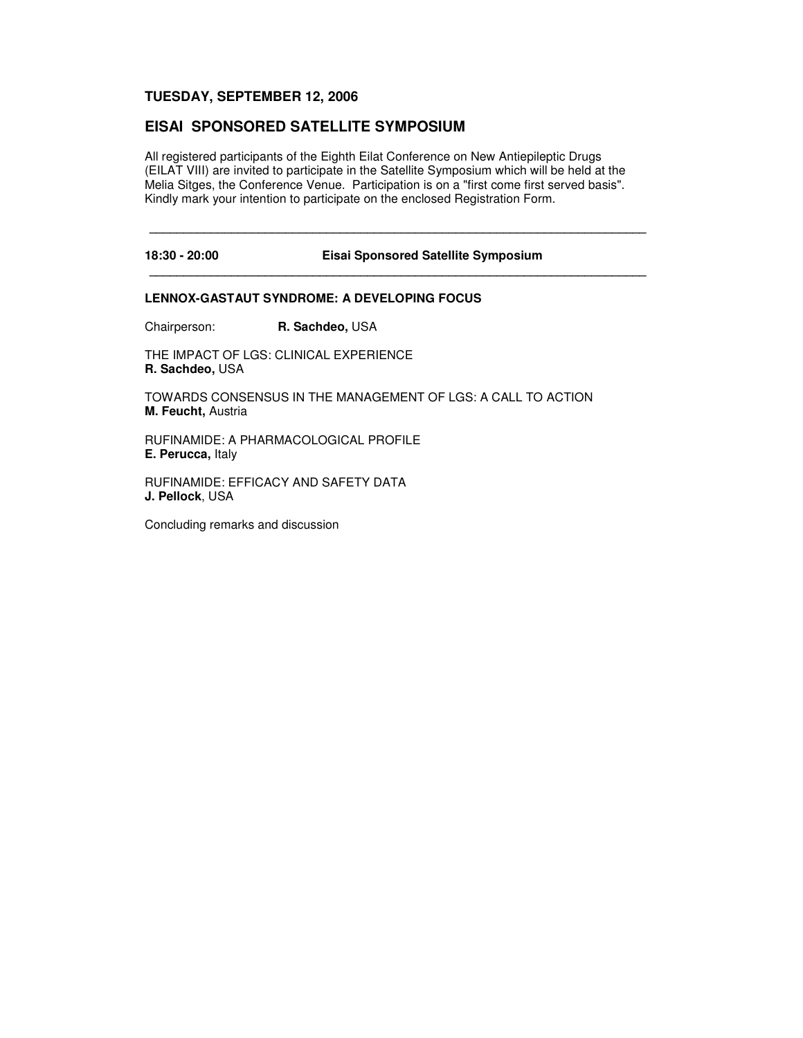## **EISAI SPONSORED SATELLITE SYMPOSIUM**

All registered participants of the Eighth Eilat Conference on New Antiepileptic Drugs (EILAT VIII) are invited to participate in the Satellite Symposium which will be held at the Melia Sitges, the Conference Venue. Participation is on a "first come first served basis". Kindly mark your intention to participate on the enclosed Registration Form.

**\_\_\_\_\_\_\_\_\_\_\_\_\_\_\_\_\_\_\_\_\_\_\_\_\_\_\_\_\_\_\_\_\_\_\_\_\_\_\_\_\_\_\_\_\_\_\_\_\_\_\_\_\_\_\_\_\_\_\_\_\_\_\_\_\_\_\_\_\_\_\_\_\_**

**\_\_\_\_\_\_\_\_\_\_\_\_\_\_\_\_\_\_\_\_\_\_\_\_\_\_\_\_\_\_\_\_\_\_\_\_\_\_\_\_\_\_\_\_\_\_\_\_\_\_\_\_\_\_\_\_\_\_\_\_\_\_\_\_\_\_\_\_\_\_\_\_\_**

**18:30 - 20:00 Eisai Sponsored Satellite Symposium**

#### **LENNOX-GASTAUT SYNDROME: A DEVELOPING FOCUS**

Chairperson: **R. Sachdeo,** USA

THE IMPACT OF LGS: CLINICAL EXPERIENCE **R. Sachdeo,** USA

TOWARDS CONSENSUS IN THE MANAGEMENT OF LGS: A CALL TO ACTION **M. Feucht,** Austria

RUFINAMIDE: A PHARMACOLOGICAL PROFILE **E. Perucca,** Italy

RUFINAMIDE: EFFICACY AND SAFETY DATA **J. Pellock**, USA

Concluding remarks and discussion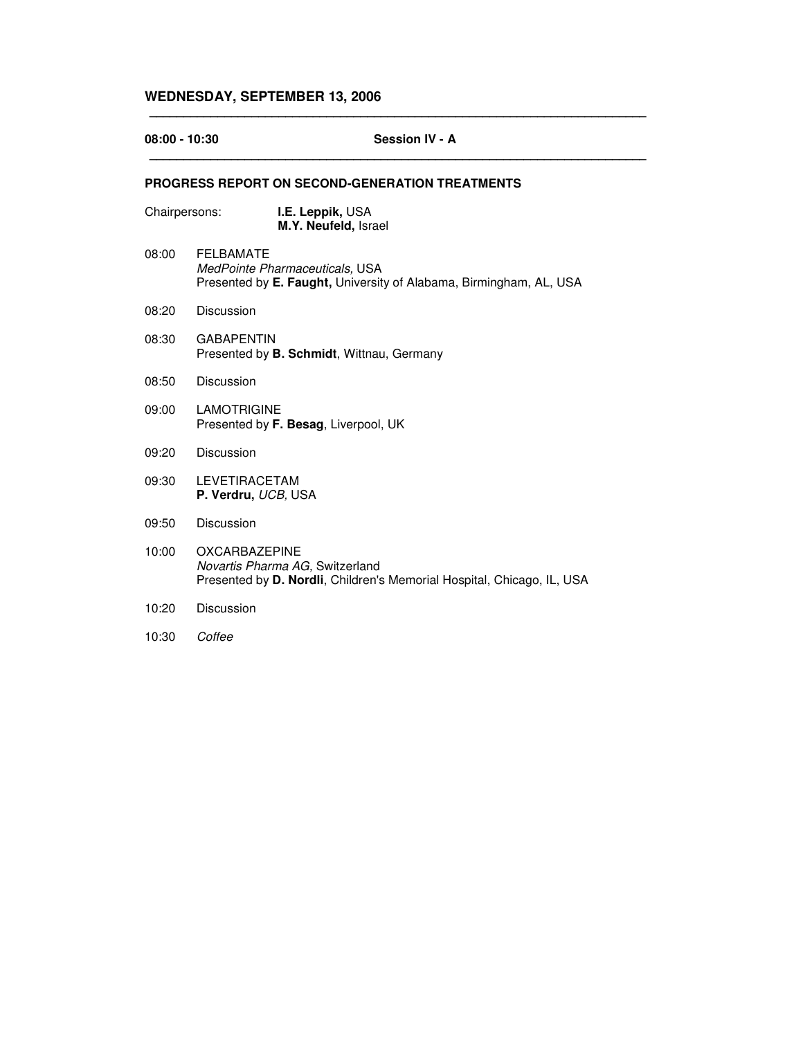# **WEDNESDAY, SEPTEMBER 13, 2006**

| $08:00 - 10:30$ | <b>Session IV - A</b>                                                                                                             |  |  |  |
|-----------------|-----------------------------------------------------------------------------------------------------------------------------------|--|--|--|
|                 | <b>PROGRESS REPORT ON SECOND-GENERATION TREATMENTS</b>                                                                            |  |  |  |
| Chairpersons:   | I.E. Leppik, USA<br>M.Y. Neufeld, Israel                                                                                          |  |  |  |
| 08:00           | <b>FELBAMATE</b><br>MedPointe Pharmaceuticals, USA<br>Presented by E. Faught, University of Alabama, Birmingham, AL, USA          |  |  |  |
| 08:20           | Discussion                                                                                                                        |  |  |  |
| 08:30           | <b>GABAPENTIN</b><br>Presented by <b>B. Schmidt</b> , Wittnau, Germany                                                            |  |  |  |
| 08:50           | Discussion                                                                                                                        |  |  |  |
| 09:00           | <b>LAMOTRIGINE</b><br>Presented by F. Besag, Liverpool, UK                                                                        |  |  |  |
| 09:20           | Discussion                                                                                                                        |  |  |  |
| 09:30           | <b>LEVETIRACETAM</b><br>P. Verdru, UCB, USA                                                                                       |  |  |  |
| 09:50           | Discussion                                                                                                                        |  |  |  |
| 10:00           | <b>OXCARBAZEPINE</b><br>Novartis Pharma AG, Switzerland<br>Presented by D. Nordli, Children's Memorial Hospital, Chicago, IL, USA |  |  |  |
| 10:20           | Discussion                                                                                                                        |  |  |  |
| 10:30           | Coffee                                                                                                                            |  |  |  |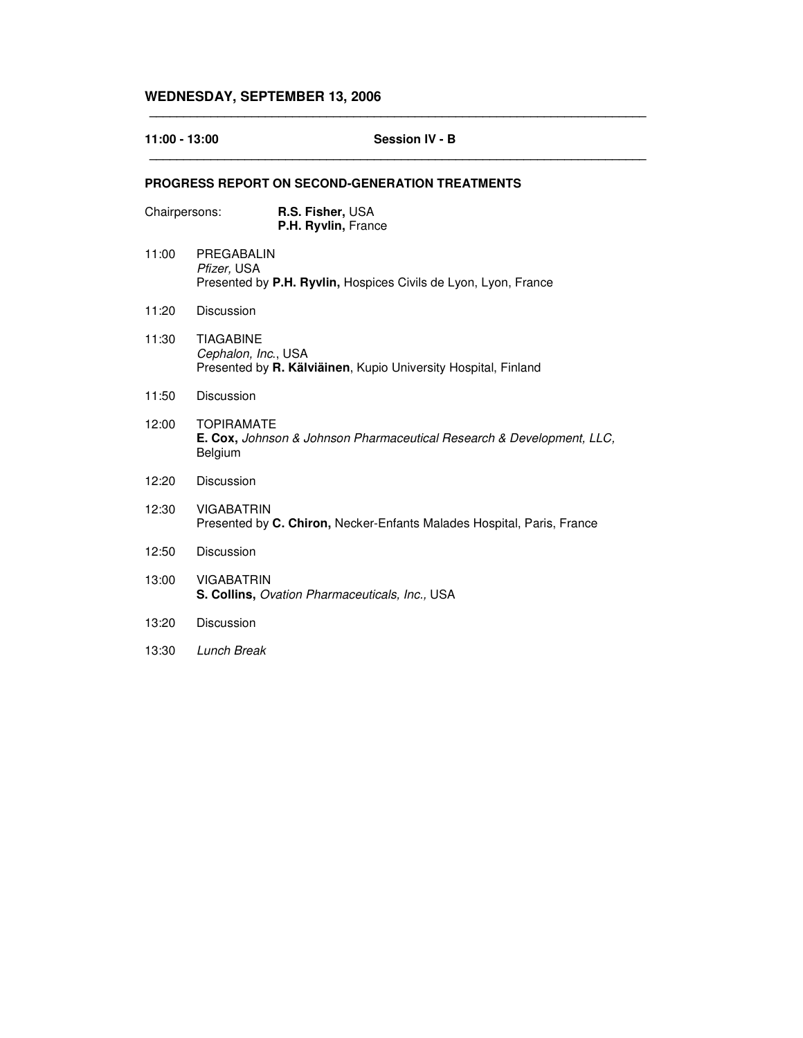# **WEDNESDAY, SEPTEMBER 13, 2006**

| 11:00 - 13:00 | Session IV - B                                                                                            |  |
|---------------|-----------------------------------------------------------------------------------------------------------|--|
|               | <b>PROGRESS REPORT ON SECOND-GENERATION TREATMENTS</b>                                                    |  |
| Chairpersons: | R.S. Fisher, USA<br>P.H. Ryvlin, France                                                                   |  |
| 11:00         | PREGABALIN<br>Pfizer, USA<br>Presented by P.H. Ryvlin, Hospices Civils de Lyon, Lyon, France              |  |
| 11:20         | Discussion                                                                                                |  |
| 11:30         | <b>TIAGABINE</b><br>Cephalon, Inc., USA<br>Presented by R. Kälviäinen, Kupio University Hospital, Finland |  |
| 11:50         | Discussion                                                                                                |  |
| 12:00         | <b>TOPIRAMATE</b><br>E. Cox, Johnson & Johnson Pharmaceutical Research & Development, LLC,<br>Belgium     |  |
| 12:20         | Discussion                                                                                                |  |
| 12:30         | <b>VIGABATRIN</b><br>Presented by C. Chiron, Necker-Enfants Malades Hospital, Paris, France               |  |
| 12:50         | Discussion                                                                                                |  |
| 13:00         | <b>VIGABATRIN</b><br>S. Collins, Ovation Pharmaceuticals, Inc., USA                                       |  |
| 13:20         | Discussion                                                                                                |  |
| 13:30         | Lunch Break                                                                                               |  |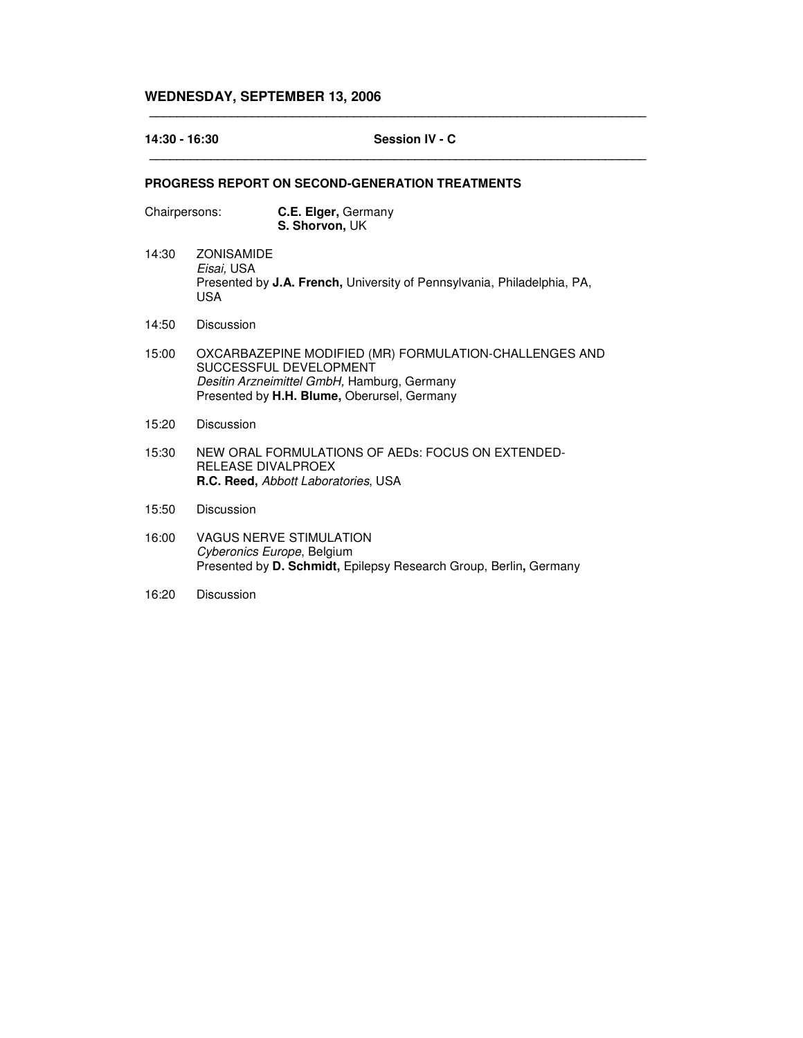# **WEDNESDAY, SEPTEMBER 13, 2006**

| 14:30 - 16:30 |                                               | Session IV - C                                                                                                                                                                 |  |
|---------------|-----------------------------------------------|--------------------------------------------------------------------------------------------------------------------------------------------------------------------------------|--|
|               |                                               | <b>PROGRESS REPORT ON SECOND-GENERATION TREATMENTS</b>                                                                                                                         |  |
| Chairpersons: |                                               | C.E. Elger, Germany<br>S. Shorvon, UK                                                                                                                                          |  |
| 14:30         | <b>ZONISAMIDE</b><br>Eisai, USA<br><b>USA</b> | Presented by J.A. French, University of Pennsylvania, Philadelphia, PA,                                                                                                        |  |
| 14:50         | Discussion                                    |                                                                                                                                                                                |  |
| 15:00         |                                               | OXCARBAZEPINE MODIFIED (MR) FORMULATION-CHALLENGES AND<br>SUCCESSFUL DEVELOPMENT<br>Desitin Arzneimittel GmbH, Hamburg, Germany<br>Presented by H.H. Blume, Oberursel, Germany |  |
| 15:20         | Discussion                                    |                                                                                                                                                                                |  |
| 15:30         | RELEASE DIVALPROEX                            | NEW ORAL FORMULATIONS OF AEDS: FOCUS ON EXTENDED-<br>R.C. Reed, Abbott Laboratories, USA                                                                                       |  |
| 15:50         | Discussion                                    |                                                                                                                                                                                |  |
| 16:00         |                                               | <b>VAGUS NERVE STIMULATION</b><br>Cyberonics Europe, Belgium<br>Presented by D. Schmidt, Epilepsy Research Group, Berlin, Germany                                              |  |

**\_\_\_\_\_\_\_\_\_\_\_\_\_\_\_\_\_\_\_\_\_\_\_\_\_\_\_\_\_\_\_\_\_\_\_\_\_\_\_\_\_\_\_\_\_\_\_\_\_\_\_\_\_\_\_\_\_\_\_\_\_\_\_\_\_\_\_\_\_\_\_\_\_**

16:20 Discussion